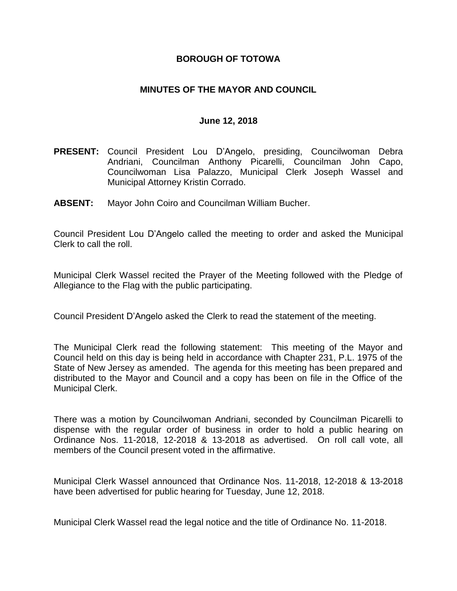### **BOROUGH OF TOTOWA**

## **MINUTES OF THE MAYOR AND COUNCIL**

#### **June 12, 2018**

- **PRESENT:** Council President Lou D'Angelo, presiding, Councilwoman Debra Andriani, Councilman Anthony Picarelli, Councilman John Capo, Councilwoman Lisa Palazzo, Municipal Clerk Joseph Wassel and Municipal Attorney Kristin Corrado.
- **ABSENT:** Mayor John Coiro and Councilman William Bucher.

Council President Lou D'Angelo called the meeting to order and asked the Municipal Clerk to call the roll.

Municipal Clerk Wassel recited the Prayer of the Meeting followed with the Pledge of Allegiance to the Flag with the public participating.

Council President D'Angelo asked the Clerk to read the statement of the meeting.

The Municipal Clerk read the following statement: This meeting of the Mayor and Council held on this day is being held in accordance with Chapter 231, P.L. 1975 of the State of New Jersey as amended. The agenda for this meeting has been prepared and distributed to the Mayor and Council and a copy has been on file in the Office of the Municipal Clerk.

There was a motion by Councilwoman Andriani, seconded by Councilman Picarelli to dispense with the regular order of business in order to hold a public hearing on Ordinance Nos. 11-2018, 12-2018 & 13-2018 as advertised. On roll call vote, all members of the Council present voted in the affirmative.

Municipal Clerk Wassel announced that Ordinance Nos. 11-2018, 12-2018 & 13-2018 have been advertised for public hearing for Tuesday, June 12, 2018.

Municipal Clerk Wassel read the legal notice and the title of Ordinance No. 11-2018.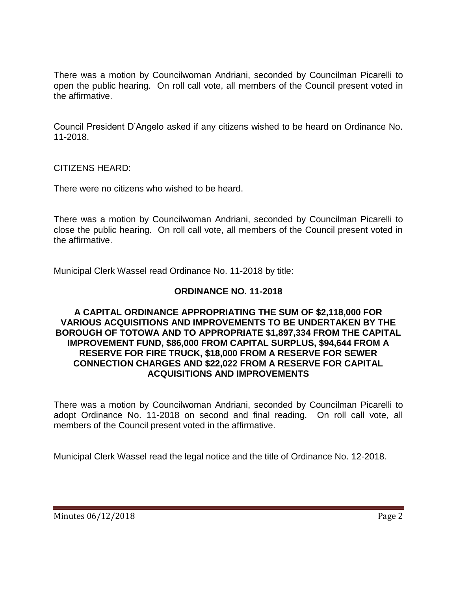There was a motion by Councilwoman Andriani, seconded by Councilman Picarelli to open the public hearing. On roll call vote, all members of the Council present voted in the affirmative.

Council President D'Angelo asked if any citizens wished to be heard on Ordinance No. 11-2018.

CITIZENS HEARD:

There were no citizens who wished to be heard.

There was a motion by Councilwoman Andriani, seconded by Councilman Picarelli to close the public hearing. On roll call vote, all members of the Council present voted in the affirmative.

Municipal Clerk Wassel read Ordinance No. 11-2018 by title:

## **ORDINANCE NO. 11-2018**

### **A CAPITAL ORDINANCE APPROPRIATING THE SUM OF \$2,118,000 FOR VARIOUS ACQUISITIONS AND IMPROVEMENTS TO BE UNDERTAKEN BY THE BOROUGH OF TOTOWA AND TO APPROPRIATE \$1,897,334 FROM THE CAPITAL IMPROVEMENT FUND, \$86,000 FROM CAPITAL SURPLUS, \$94,644 FROM A RESERVE FOR FIRE TRUCK, \$18,000 FROM A RESERVE FOR SEWER CONNECTION CHARGES AND \$22,022 FROM A RESERVE FOR CAPITAL ACQUISITIONS AND IMPROVEMENTS**

There was a motion by Councilwoman Andriani, seconded by Councilman Picarelli to adopt Ordinance No. 11-2018 on second and final reading. On roll call vote, all members of the Council present voted in the affirmative.

Municipal Clerk Wassel read the legal notice and the title of Ordinance No. 12-2018.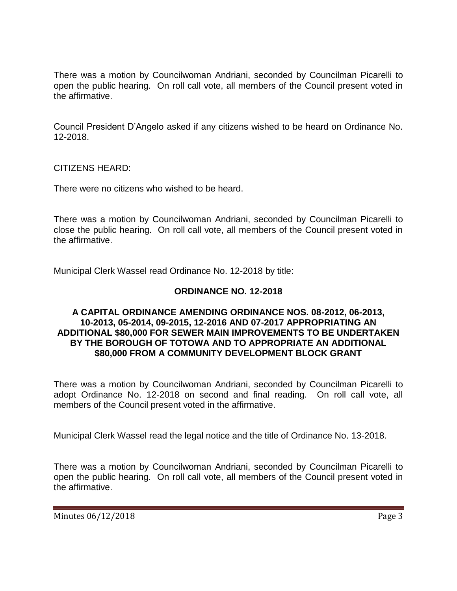There was a motion by Councilwoman Andriani, seconded by Councilman Picarelli to open the public hearing. On roll call vote, all members of the Council present voted in the affirmative.

Council President D'Angelo asked if any citizens wished to be heard on Ordinance No. 12-2018.

CITIZENS HEARD:

There were no citizens who wished to be heard.

There was a motion by Councilwoman Andriani, seconded by Councilman Picarelli to close the public hearing. On roll call vote, all members of the Council present voted in the affirmative.

Municipal Clerk Wassel read Ordinance No. 12-2018 by title:

## **ORDINANCE NO. 12-2018**

### **A CAPITAL ORDINANCE AMENDING ORDINANCE NOS. 08-2012, 06-2013, 10-2013, 05-2014, 09-2015, 12-2016 AND 07-2017 APPROPRIATING AN ADDITIONAL \$80,000 FOR SEWER MAIN IMPROVEMENTS TO BE UNDERTAKEN BY THE BOROUGH OF TOTOWA AND TO APPROPRIATE AN ADDITIONAL \$80,000 FROM A COMMUNITY DEVELOPMENT BLOCK GRANT**

There was a motion by Councilwoman Andriani, seconded by Councilman Picarelli to adopt Ordinance No. 12-2018 on second and final reading. On roll call vote, all members of the Council present voted in the affirmative.

Municipal Clerk Wassel read the legal notice and the title of Ordinance No. 13-2018.

There was a motion by Councilwoman Andriani, seconded by Councilman Picarelli to open the public hearing. On roll call vote, all members of the Council present voted in the affirmative.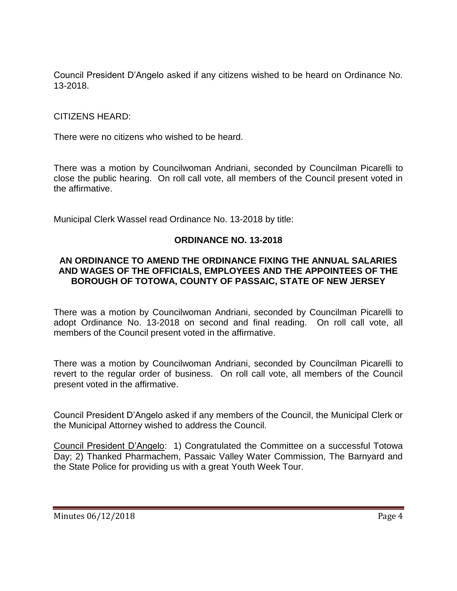Council President D'Angelo asked if any citizens wished to be heard on Ordinance No. 13-2018.

CITIZENS HEARD:

There were no citizens who wished to be heard.

There was a motion by Councilwoman Andriani, seconded by Councilman Picarelli to close the public hearing. On roll call vote, all members of the Council present voted in the affirmative.

Municipal Clerk Wassel read Ordinance No. 13-2018 by title:

### **ORDINANCE NO. 13-2018**

### **AN ORDINANCE TO AMEND THE ORDINANCE FIXING THE ANNUAL SALARIES AND WAGES OF THE OFFICIALS, EMPLOYEES AND THE APPOINTEES OF THE BOROUGH OF TOTOWA, COUNTY OF PASSAIC, STATE OF NEW JERSEY**

There was a motion by Councilwoman Andriani, seconded by Councilman Picarelli to adopt Ordinance No. 13-2018 on second and final reading. On roll call vote, all members of the Council present voted in the affirmative.

There was a motion by Councilwoman Andriani, seconded by Councilman Picarelli to revert to the regular order of business. On roll call vote, all members of the Council present voted in the affirmative.

Council President D'Angelo asked if any members of the Council, the Municipal Clerk or the Municipal Attorney wished to address the Council.

Council President D'Angelo: 1) Congratulated the Committee on a successful Totowa Day; 2) Thanked Pharmachem, Passaic Valley Water Commission, The Barnyard and the State Police for providing us with a great Youth Week Tour.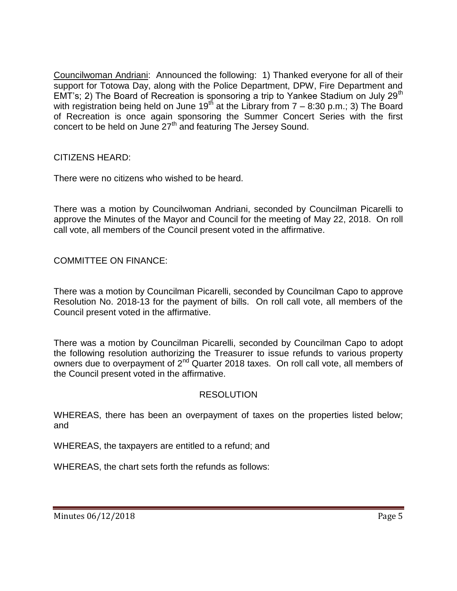Councilwoman Andriani: Announced the following: 1) Thanked everyone for all of their support for Totowa Day, along with the Police Department, DPW, Fire Department and EMT's; 2) The Board of Recreation is sponsoring a trip to Yankee Stadium on July 29<sup>th</sup> with registration being held on June 19<sup>th</sup> at the Library from  $7 - 8:30$  p.m.; 3) The Board of Recreation is once again sponsoring the Summer Concert Series with the first concert to be held on June 27<sup>th</sup> and featuring The Jersey Sound.

CITIZENS HEARD:

There were no citizens who wished to be heard.

There was a motion by Councilwoman Andriani, seconded by Councilman Picarelli to approve the Minutes of the Mayor and Council for the meeting of May 22, 2018. On roll call vote, all members of the Council present voted in the affirmative.

COMMITTEE ON FINANCE:

There was a motion by Councilman Picarelli, seconded by Councilman Capo to approve Resolution No. 2018-13 for the payment of bills. On roll call vote, all members of the Council present voted in the affirmative.

There was a motion by Councilman Picarelli, seconded by Councilman Capo to adopt the following resolution authorizing the Treasurer to issue refunds to various property owners due to overpayment of 2<sup>nd</sup> Quarter 2018 taxes. On roll call vote, all members of the Council present voted in the affirmative.

# RESOLUTION

WHEREAS, there has been an overpayment of taxes on the properties listed below; and

WHEREAS, the taxpayers are entitled to a refund; and

WHEREAS, the chart sets forth the refunds as follows: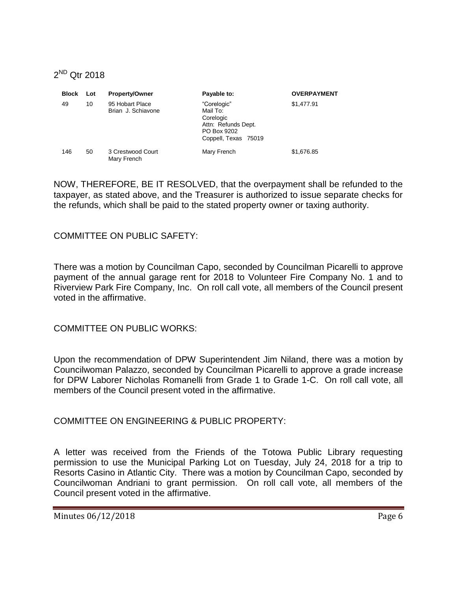# 2<sup>ND</sup> Qtr 2018

| <b>Block</b> | Lot | <b>Property/Owner</b>                 | Payable to:                                                                                        | <b>OVERPAYMENT</b> |
|--------------|-----|---------------------------------------|----------------------------------------------------------------------------------------------------|--------------------|
| 49           | 10  | 95 Hobart Place<br>Brian J. Schiavone | "Corelogic"<br>Mail To:<br>Corelogic<br>Attn: Refunds Dept.<br>PO Box 9202<br>Coppell, Texas 75019 | \$1,477.91         |
| 146          | 50  | 3 Crestwood Court<br>Mary French      | Mary French                                                                                        | \$1,676.85         |

NOW, THEREFORE, BE IT RESOLVED, that the overpayment shall be refunded to the taxpayer, as stated above, and the Treasurer is authorized to issue separate checks for the refunds, which shall be paid to the stated property owner or taxing authority.

# COMMITTEE ON PUBLIC SAFETY:

There was a motion by Councilman Capo, seconded by Councilman Picarelli to approve payment of the annual garage rent for 2018 to Volunteer Fire Company No. 1 and to Riverview Park Fire Company, Inc. On roll call vote, all members of the Council present voted in the affirmative.

COMMITTEE ON PUBLIC WORKS:

Upon the recommendation of DPW Superintendent Jim Niland, there was a motion by Councilwoman Palazzo, seconded by Councilman Picarelli to approve a grade increase for DPW Laborer Nicholas Romanelli from Grade 1 to Grade 1-C. On roll call vote, all members of the Council present voted in the affirmative.

COMMITTEE ON ENGINEERING & PUBLIC PROPERTY:

A letter was received from the Friends of the Totowa Public Library requesting permission to use the Municipal Parking Lot on Tuesday, July 24, 2018 for a trip to Resorts Casino in Atlantic City. There was a motion by Councilman Capo, seconded by Councilwoman Andriani to grant permission. On roll call vote, all members of the Council present voted in the affirmative.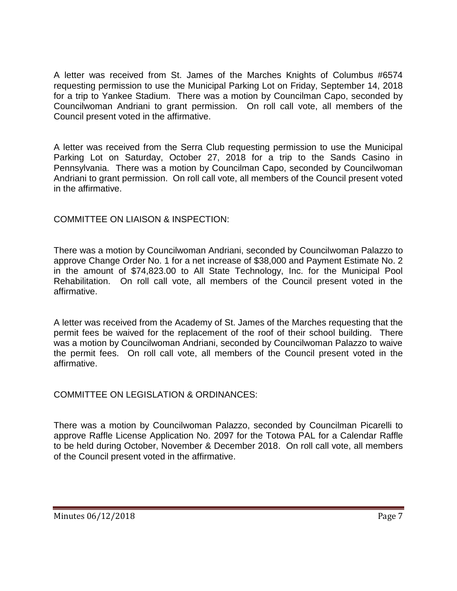A letter was received from St. James of the Marches Knights of Columbus #6574 requesting permission to use the Municipal Parking Lot on Friday, September 14, 2018 for a trip to Yankee Stadium. There was a motion by Councilman Capo, seconded by Councilwoman Andriani to grant permission. On roll call vote, all members of the Council present voted in the affirmative.

A letter was received from the Serra Club requesting permission to use the Municipal Parking Lot on Saturday, October 27, 2018 for a trip to the Sands Casino in Pennsylvania. There was a motion by Councilman Capo, seconded by Councilwoman Andriani to grant permission. On roll call vote, all members of the Council present voted in the affirmative.

# COMMITTEE ON LIAISON & INSPECTION:

There was a motion by Councilwoman Andriani, seconded by Councilwoman Palazzo to approve Change Order No. 1 for a net increase of \$38,000 and Payment Estimate No. 2 in the amount of \$74,823.00 to All State Technology, Inc. for the Municipal Pool Rehabilitation. On roll call vote, all members of the Council present voted in the affirmative.

A letter was received from the Academy of St. James of the Marches requesting that the permit fees be waived for the replacement of the roof of their school building. There was a motion by Councilwoman Andriani, seconded by Councilwoman Palazzo to waive the permit fees. On roll call vote, all members of the Council present voted in the affirmative.

# COMMITTEE ON LEGISLATION & ORDINANCES:

There was a motion by Councilwoman Palazzo, seconded by Councilman Picarelli to approve Raffle License Application No. 2097 for the Totowa PAL for a Calendar Raffle to be held during October, November & December 2018. On roll call vote, all members of the Council present voted in the affirmative.